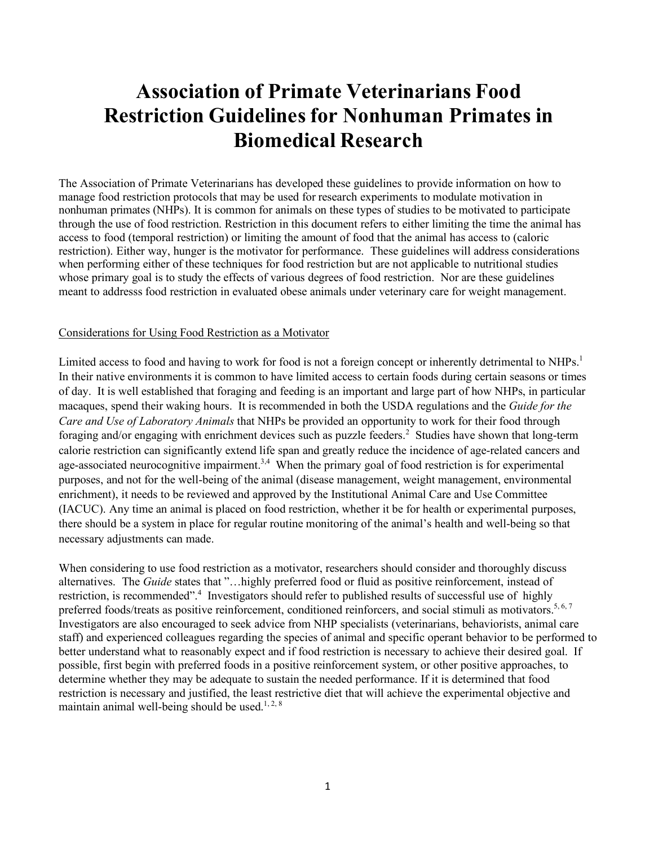# **Association of Primate Veterinarians Food Restriction Guidelines for Nonhuman Primates in Biomedical Research**

The Association of Primate Veterinarians has developed these guidelines to provide information on how to manage food restriction protocols that may be used for research experiments to modulate motivation in nonhuman primates (NHPs). It is common for animals on these types of studies to be motivated to participate through the use of food restriction. Restriction in this document refers to either limiting the time the animal has access to food (temporal restriction) or limiting the amount of food that the animal has access to (caloric restriction). Either way, hunger is the motivator for performance. These guidelines will address considerations when performing either of these techniques for food restriction but are not applicable to nutritional studies whose primary goal is to study the effects of various degrees of food restriction. Nor are these guidelines meant to addresss food restriction in evaluated obese animals under veterinary care for weight management.

#### Considerations for Using Food Restriction as a Motivator

Limited access to food and having to work for food is not a foreign concept or inherently detrimental to NHPs.<sup>1</sup> In their native environments it is common to have limited access to certain foods during certain seasons or times of day. It is well established that foraging and feeding is an important and large part of how NHPs, in particular macaques, spend their waking hours. It is recommended in both the USDA regulations and the *Guide for the Care and Use of Laboratory Animals* that NHPs be provided an opportunity to work for their food through foraging and/or engaging with enrichment devices such as puzzle feeders. <sup>2</sup> Studies have shown that long-term calorie restriction can significantly extend life span and greatly reduce the incidence of age-related cancers and age-associated neurocognitive impairment.<sup>3,4</sup> When the primary goal of food restriction is for experimental purposes, and not for the well-being of the animal (disease management, weight management, environmental enrichment), it needs to be reviewed and approved by the Institutional Animal Care and Use Committee (IACUC). Any time an animal is placed on food restriction, whether it be for health or experimental purposes, there should be a system in place for regular routine monitoring of the animal's health and well-being so that necessary adjustments can made.

When considering to use food restriction as a motivator, researchers should consider and thoroughly discuss alternatives. The *Guide* states that "…highly preferred food or fluid as positive reinforcement, instead of restriction, is recommended".<sup>4</sup> Investigators should refer to published results of successful use of highly preferred foods/treats as positive reinforcement, conditioned reinforcers, and social stimuli as motivators.<sup>5, 6, 7</sup> Investigators are also encouraged to seek advice from NHP specialists (veterinarians, behaviorists, animal care staff) and experienced colleagues regarding the species of animal and specific operant behavior to be performed to better understand what to reasonably expect and if food restriction is necessary to achieve their desired goal. If possible, first begin with preferred foods in a positive reinforcement system, or other positive approaches, to determine whether they may be adequate to sustain the needed performance. If it is determined that food restriction is necessary and justified, the least restrictive diet that will achieve the experimental objective and maintain animal well-being should be used.<sup>1,2,8</sup>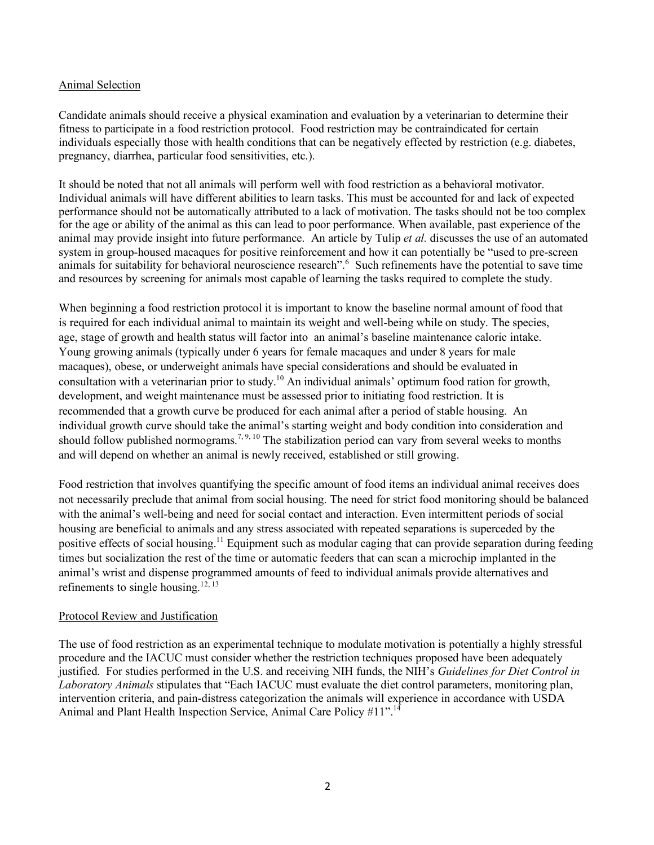## Animal Selection

Candidate animals should receive a physical examination and evaluation by a veterinarian to determine their fitness to participate in a food restriction protocol. Food restriction may be contraindicated for certain individuals especially those with health conditions that can be negatively effected by restriction (e.g. diabetes, pregnancy, diarrhea, particular food sensitivities, etc.).

It should be noted that not all animals will perform well with food restriction as a behavioral motivator. Individual animals will have different abilities to learn tasks. This must be accounted for and lack of expected performance should not be automatically attributed to a lack of motivation. The tasks should not be too complex for the age or ability of the animal as this can lead to poor performance. When available, past experience of the animal may provide insight into future performance. An article by Tulip *et al.* discusses the use of an automated system in group-housed macaques for positive reinforcement and how it can potentially be "used to pre-screen animals for suitability for behavioral neuroscience research".<sup>6</sup> Such refinements have the potential to save time and resources by screening for animals most capable of learning the tasks required to complete the study.

When beginning a food restriction protocol it is important to know the baseline normal amount of food that is required for each individual animal to maintain its weight and well-being while on study. The species, age, stage of growth and health status will factor into an animal's baseline maintenance caloric intake. Young growing animals (typically under 6 years for female macaques and under 8 years for male macaques), obese, or underweight animals have special considerations and should be evaluated in consultation with a veterinarian prior to study.<sup>10</sup> An individual animals' optimum food ration for growth, development, and weight maintenance must be assessed prior to initiating food restriction. It is recommended that a growth curve be produced for each animal after a period of stable housing. An individual growth curve should take the animal's starting weight and body condition into consideration and should follow published normograms.<sup>7, 9, 10</sup> The stabilization period can vary from several weeks to months and will depend on whether an animal is newly received, established or still growing.

Food restriction that involves quantifying the specific amount of food items an individual animal receives does not necessarily preclude that animal from social housing. The need for strict food monitoring should be balanced with the animal's well-being and need for social contact and interaction. Even intermittent periods of social housing are beneficial to animals and any stress associated with repeated separations is superceded by the positive effects of social housing.<sup>11</sup> Equipment such as modular caging that can provide separation during feeding times but socialization the rest of the time or automatic feeders that can scan a microchip implanted in the animal's wrist and dispense programmed amounts of feed to individual animals provide alternatives and refinements to single housing.<sup>12, 13</sup>

#### Protocol Review and Justification

The use of food restriction as an experimental technique to modulate motivation is potentially a highly stressful procedure and the IACUC must consider whether the restriction techniques proposed have been adequately justified. For studies performed in the U.S. and receiving NIH funds, the NIH's *Guidelines for Diet Control in Laboratory Animals* stipulates that "Each IACUC must evaluate the diet control parameters, monitoring plan, intervention criteria, and pain-distress categorization the animals will experience in accordance with USDA Animal and Plant Health Inspection Service, Animal Care Policy #11".<sup>14</sup>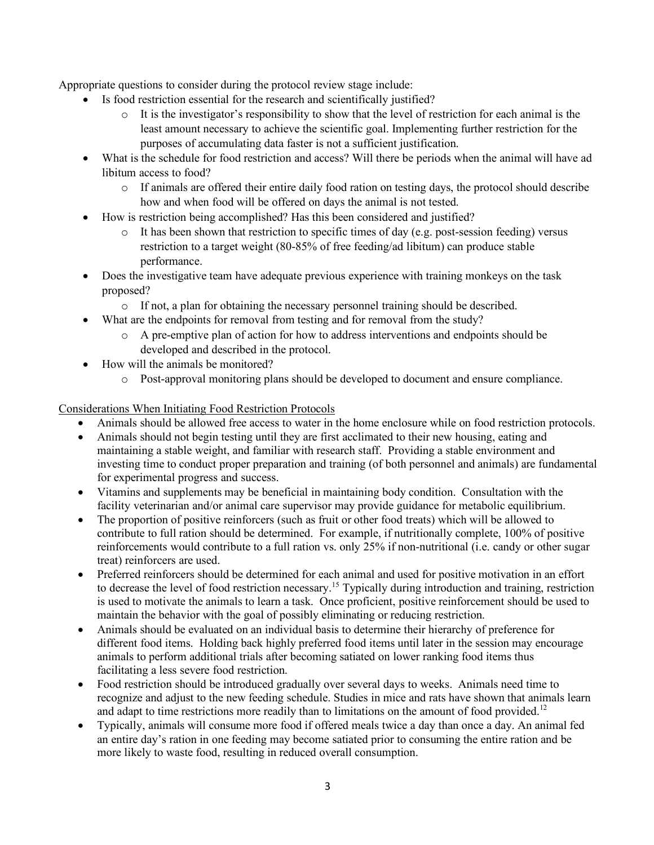Appropriate questions to consider during the protocol review stage include:

- Is food restriction essential for the research and scientifically justified?
	- $\circ$  It is the investigator's responsibility to show that the level of restriction for each animal is the least amount necessary to achieve the scientific goal. Implementing further restriction for the purposes of accumulating data faster is not a sufficient justification.
- What is the schedule for food restriction and access? Will there be periods when the animal will have ad libitum access to food?
	- o If animals are offered their entire daily food ration on testing days, the protocol should describe how and when food will be offered on days the animal is not tested.
- How is restriction being accomplished? Has this been considered and justified?
	- $\circ$  It has been shown that restriction to specific times of day (e.g. post-session feeding) versus restriction to a target weight (80-85% of free feeding/ad libitum) can produce stable performance.
- Does the investigative team have adequate previous experience with training monkeys on the task proposed?
	- o If not, a plan for obtaining the necessary personnel training should be described.
- What are the endpoints for removal from testing and for removal from the study?
	- o A pre-emptive plan of action for how to address interventions and endpoints should be developed and described in the protocol.
- How will the animals be monitored?
	- o Post-approval monitoring plans should be developed to document and ensure compliance.

## Considerations When Initiating Food Restriction Protocols

- Animals should be allowed free access to water in the home enclosure while on food restriction protocols.
- Animals should not begin testing until they are first acclimated to their new housing, eating and maintaining a stable weight, and familiar with research staff. Providing a stable environment and investing time to conduct proper preparation and training (of both personnel and animals) are fundamental for experimental progress and success.
- Vitamins and supplements may be beneficial in maintaining body condition. Consultation with the facility veterinarian and/or animal care supervisor may provide guidance for metabolic equilibrium.
- The proportion of positive reinforcers (such as fruit or other food treats) which will be allowed to contribute to full ration should be determined. For example, if nutritionally complete, 100% of positive reinforcements would contribute to a full ration vs. only 25% if non-nutritional (i.e. candy or other sugar treat) reinforcers are used.
- Preferred reinforcers should be determined for each animal and used for positive motivation in an effort to decrease the level of food restriction necessary.<sup>15</sup> Typically during introduction and training, restriction is used to motivate the animals to learn a task. Once proficient, positive reinforcement should be used to maintain the behavior with the goal of possibly eliminating or reducing restriction.
- Animals should be evaluated on an individual basis to determine their hierarchy of preference for different food items. Holding back highly preferred food items until later in the session may encourage animals to perform additional trials after becoming satiated on lower ranking food items thus facilitating a less severe food restriction.
- Food restriction should be introduced gradually over several days to weeks. Animals need time to recognize and adjust to the new feeding schedule. Studies in mice and rats have shown that animals learn and adapt to time restrictions more readily than to limitations on the amount of food provided.<sup>12</sup>
- Typically, animals will consume more food if offered meals twice a day than once a day. An animal fed an entire day's ration in one feeding may become satiated prior to consuming the entire ration and be more likely to waste food, resulting in reduced overall consumption.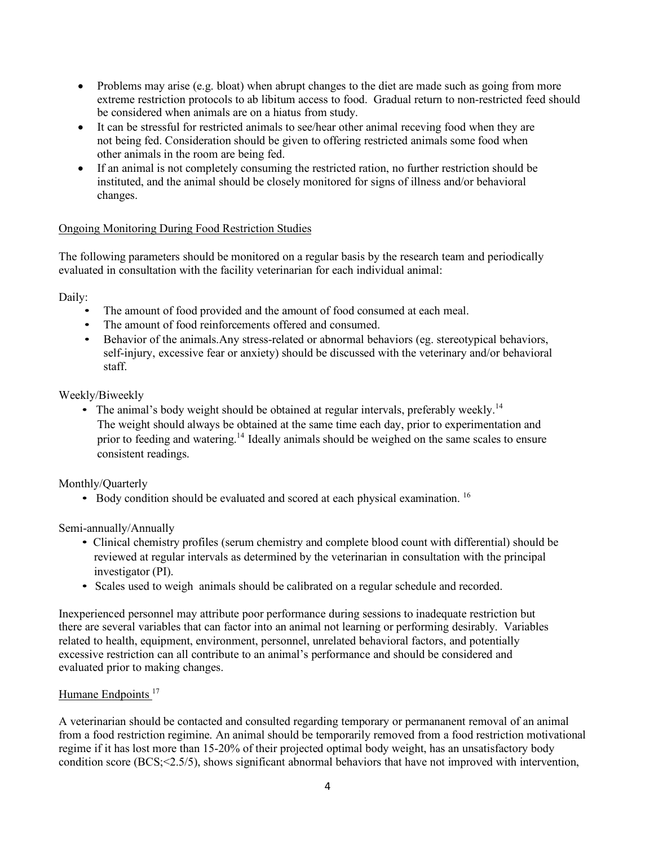- Problems may arise (e.g. bloat) when abrupt changes to the diet are made such as going from more extreme restriction protocols to ab libitum access to food. Gradual return to non-restricted feed should be considered when animals are on a hiatus from study.
- It can be stressful for restricted animals to see/hear other animal receving food when they are not being fed. Consideration should be given to offering restricted animals some food when other animals in the room are being fed.
- If an animal is not completely consuming the restricted ration, no further restriction should be instituted, and the animal should be closely monitored for signs of illness and/or behavioral changes.

## Ongoing Monitoring During Food Restriction Studies

The following parameters should be monitored on a regular basis by the research team and periodically evaluated in consultation with the facility veterinarian for each individual animal:

Daily:

- The amount of food provided and the amount of food consumed at each meal.
- The amount of food reinforcements offered and consumed.
- Behavior of the animals. Any stress-related or abnormal behaviors (eg. stereotypical behaviors, self-injury, excessive fear or anxiety) should be discussed with the veterinary and/or behavioral staff.

Weekly/Biweekly

• The animal's body weight should be obtained at regular intervals, preferably weekly.<sup>14</sup> The weight should always be obtained at the same time each day, prior to experimentation and prior to feeding and watering.<sup>14</sup> Ideally animals should be weighed on the same scales to ensure consistent readings.

Monthly/Quarterly

• Body condition should be evaluated and scored at each physical examination.  $16$ 

Semi-annually/Annually

- Clinical chemistry profiles (serum chemistry and complete blood count with differential) should be reviewed at regular intervals as determined by the veterinarian in consultation with the principal investigator (PI).
- Scales used to weigh animals should be calibrated on a regular schedule and recorded.

Inexperienced personnel may attribute poor performance during sessions to inadequate restriction but there are several variables that can factor into an animal not learning or performing desirably. Variables related to health, equipment, environment, personnel, unrelated behavioral factors, and potentially excessive restriction can all contribute to an animal's performance and should be considered and evaluated prior to making changes.

## Humane Endpoints<sup>17</sup>

A veterinarian should be contacted and consulted regarding temporary or permananent removal of an animal from a food restriction regimine. An animal should be temporarily removed from a food restriction motivational regime if it has lost more than 15-20% of their projected optimal body weight, has an unsatisfactory body condition score (BCS;<2.5/5), shows significant abnormal behaviors that have not improved with intervention,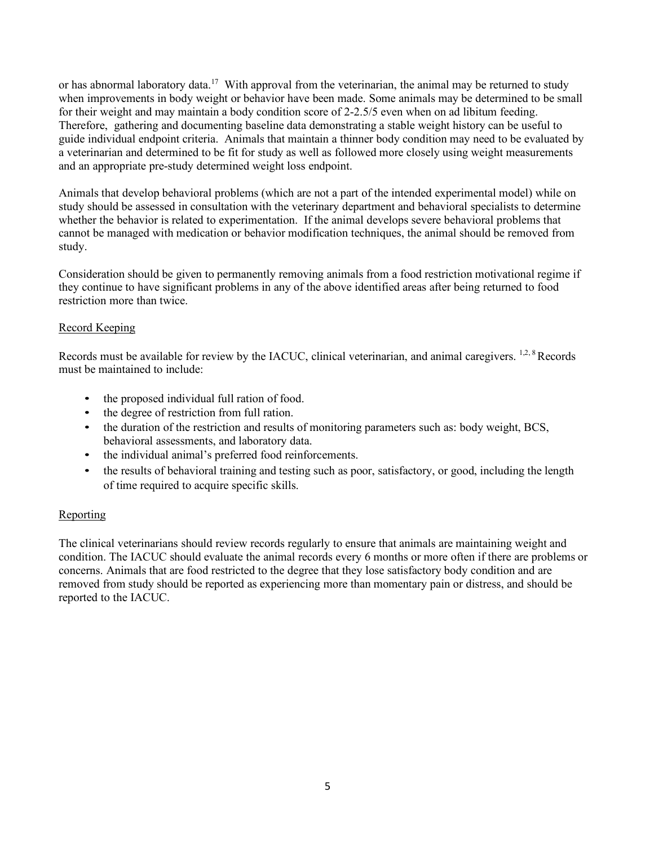or has abnormal laboratory data.<sup>17</sup> With approval from the veterinarian, the animal may be returned to study when improvements in body weight or behavior have been made. Some animals may be determined to be small for their weight and may maintain a body condition score of 2-2.5/5 even when on ad libitum feeding. Therefore, gathering and documenting baseline data demonstrating a stable weight history can be useful to guide individual endpoint criteria. Animals that maintain a thinner body condition may need to be evaluated by a veterinarian and determined to be fit for study as well as followed more closely using weight measurements and an appropriate pre-study determined weight loss endpoint.

Animals that develop behavioral problems (which are not a part of the intended experimental model) while on study should be assessed in consultation with the veterinary department and behavioral specialists to determine whether the behavior is related to experimentation. If the animal develops severe behavioral problems that cannot be managed with medication or behavior modification techniques, the animal should be removed from study.

Consideration should be given to permanently removing animals from a food restriction motivational regime if they continue to have significant problems in any of the above identified areas after being returned to food restriction more than twice.

## Record Keeping

Records must be available for review by the IACUC, clinical veterinarian, and animal caregivers. <sup>1,2, 8</sup>Records must be maintained to include:

- the proposed individual full ration of food.
- the degree of restriction from full ration.
- the duration of the restriction and results of monitoring parameters such as: body weight, BCS, behavioral assessments, and laboratory data.
- the individual animal's preferred food reinforcements.
- the results of behavioral training and testing such as poor, satisfactory, or good, including the length of time required to acquire specific skills.

## **Reporting**

The clinical veterinarians should review records regularly to ensure that animals are maintaining weight and condition. The IACUC should evaluate the animal records every 6 months or more often if there are problems or concerns. Animals that are food restricted to the degree that they lose satisfactory body condition and are removed from study should be reported as experiencing more than momentary pain or distress, and should be reported to the IACUC.